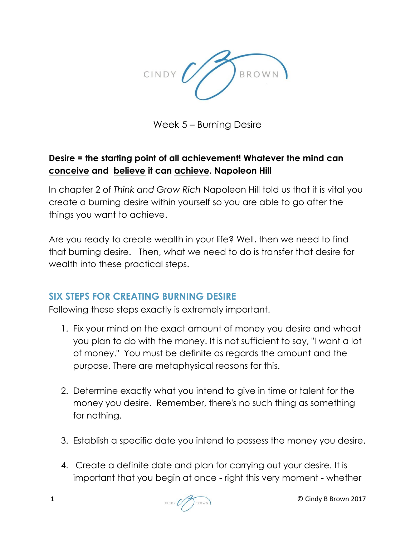

Week 5 – Burning Desire

## **Desire = the starting point of all achievement! Whatever the mind can conceive and believe it can achieve. Napoleon Hill**

In chapter 2 of *Think and Grow Rich* Napoleon Hill told us that it is vital you create a burning desire within yourself so you are able to go after the things you want to achieve.

Are you ready to create wealth in your life? Well, then we need to find that burning desire. Then, what we need to do is transfer that desire for wealth into these practical steps.

## **SIX STEPS FOR CREATING BURNING DESIRE**

Following these steps exactly is extremely important.

- 1. Fix your mind on the exact amount of money you desire and whaat you plan to do with the money. It is not sufficient to say, "I want a lot of money." You must be definite as regards the amount and the purpose. There are metaphysical reasons for this.
- 2. Determine exactly what you intend to give in time or talent for the money you desire. Remember, there's no such thing as something for nothing.
- 3. Establish a specific date you intend to possess the money you desire.
- 4. Create a definite date and plan for carrying out your desire. It is important that you begin at once - right this very moment - whether